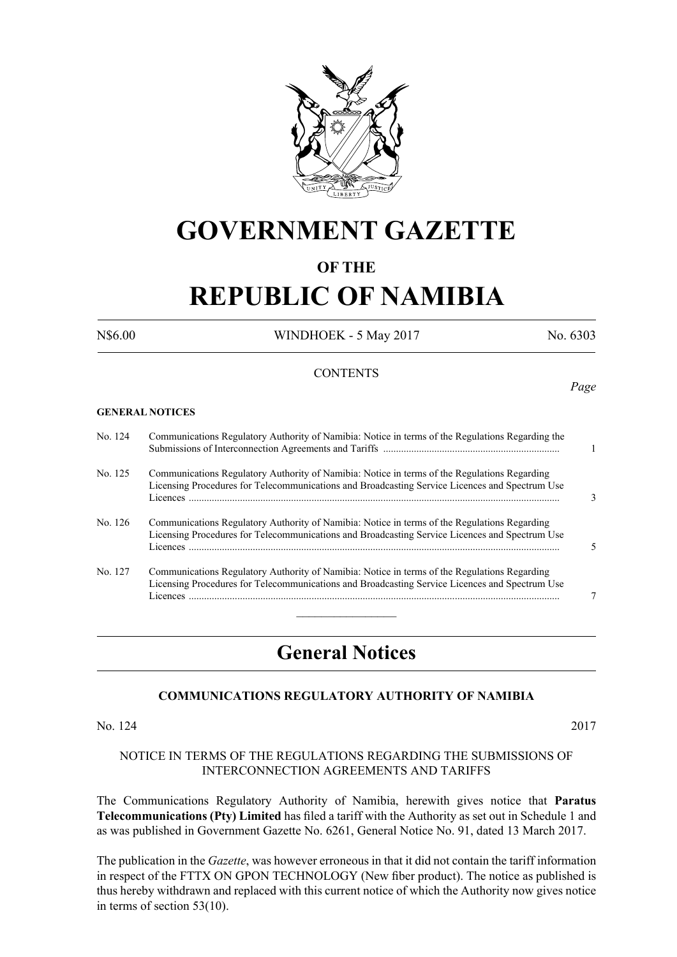

## **GOVERNMENT GAZETTE**

#### **OF THE**

# **REPUBLIC OF NAMIBIA**

N\$6.00 WINDHOEK - 5 May 2017 No. 6303

#### **CONTENTS**

#### **GENERAL NOTICES**

| No. 124 | Communications Regulatory Authority of Namibia: Notice in terms of the Regulations Regarding the                                                                                               |   |
|---------|------------------------------------------------------------------------------------------------------------------------------------------------------------------------------------------------|---|
| No. 125 | Communications Regulatory Authority of Namibia: Notice in terms of the Regulations Regarding<br>Licensing Procedures for Telecommunications and Broadcasting Service Licences and Spectrum Use | 3 |
| No. 126 | Communications Regulatory Authority of Namibia: Notice in terms of the Regulations Regarding<br>Licensing Procedures for Telecommunications and Broadcasting Service Licences and Spectrum Use | 5 |
| No. 127 | Communications Regulatory Authority of Namibia: Notice in terms of the Regulations Regarding<br>Licensing Procedures for Telecommunications and Broadcasting Service Licences and Spectrum Use | 7 |

### **General Notices**

#### **COMMUNICATIONS REGULATORY AUTHORITY OF NAMIBIA**

#### No. 124 2017

#### NOTICE IN TERMS OF THE REGULATIONS REGARDING THE SUBMISSIONS OF INTERCONNECTION AGREEMENTS AND TARIFFS

The Communications Regulatory Authority of Namibia, herewith gives notice that **Paratus Telecommunications (Pty) Limited** has filed a tariff with the Authority as set out in Schedule 1 and as was published in Government Gazette No. 6261, General Notice No. 91, dated 13 March 2017.

The publication in the *Gazette*, was however erroneous in that it did not contain the tariff information in respect of the FTTX ON GPON TECHNOLOGY (New fiber product). The notice as published is thus hereby withdrawn and replaced with this current notice of which the Authority now gives notice in terms of section 53(10).

*Page*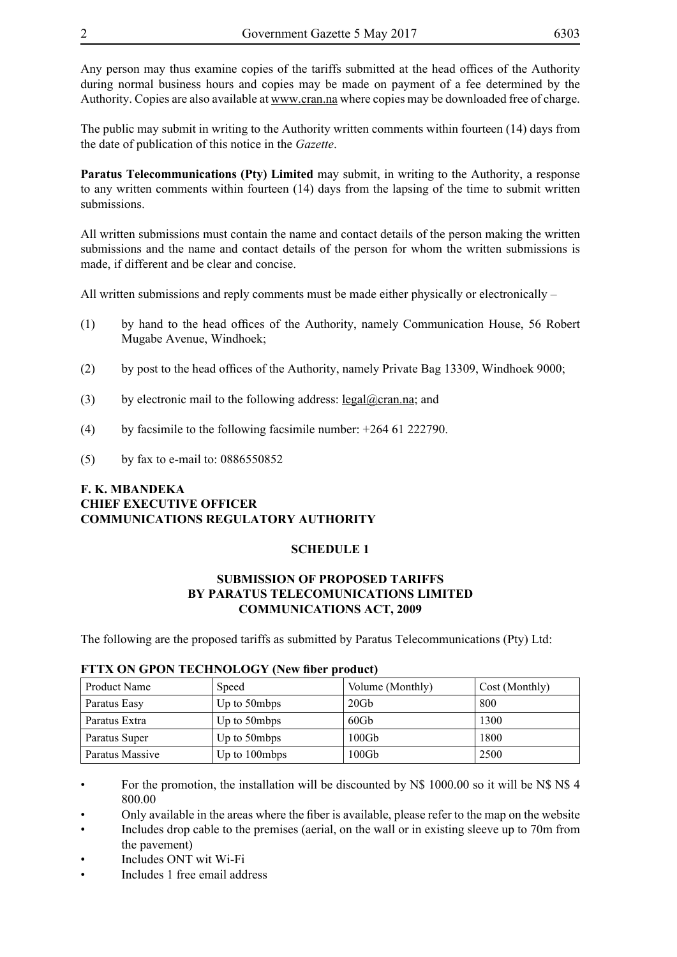Any person may thus examine copies of the tariffs submitted at the head offices of the Authority during normal business hours and copies may be made on payment of a fee determined by the Authority. Copies are also available at www.cran.na where copies may be downloaded free of charge.

The public may submit in writing to the Authority written comments within fourteen (14) days from the date of publication of this notice in the *Gazette*.

**Paratus Telecommunications (Pty) Limited** may submit, in writing to the Authority, a response to any written comments within fourteen (14) days from the lapsing of the time to submit written submissions.

All written submissions must contain the name and contact details of the person making the written submissions and the name and contact details of the person for whom the written submissions is made, if different and be clear and concise.

All written submissions and reply comments must be made either physically or electronically  $-$ 

- (1) by hand to the head offices of the Authority, namely Communication House, 56 Robert Mugabe Avenue, Windhoek;
- (2) by post to the head offices of the Authority, namely Private Bag 13309, Windhoek 9000;
- (3) by electronic mail to the following address:  $\text{legal@cran.na}$ ; and
- (4) by facsimile to the following facsimile number:  $+264$  61 222790.
- (5) by fax to e-mail to: 0886550852

#### **F. K. MBANDEKA CHIEF EXECUTIVE OFFICER COMMUNICATIONS REGULATORY AUTHORITY**

#### **SCHEDULE 1**

#### **SUBMISSION OF PROPOSED TARIFFS BY PARATUS TELECOMUNICATIONS LIMITED COMMUNICATIONS ACT, 2009**

The following are the proposed tariffs as submitted by Paratus Telecommunications (Pty) Ltd:

| Product Name    | Speed         | Volume (Monthly) | Cost (Monthly) |  |  |  |  |
|-----------------|---------------|------------------|----------------|--|--|--|--|
| Paratus Easy    | Up to 50mbps  | 20Gb             | 800            |  |  |  |  |
| Paratus Extra   | Up to 50mbps  | 60Gb             | 1300           |  |  |  |  |
| Paratus Super   | Up to 50mbps  | 100Gb            | 1800           |  |  |  |  |
| Paratus Massive | Up to 100mbps | $100\mathrm{Gb}$ | 2500           |  |  |  |  |

#### **FTTX ON GPON TECHNOLOGY (New fiber product)**

• For the promotion, the installation will be discounted by N\$ 1000.00 so it will be N\$ N\$ 4 800.00

• Only available in the areas where the fiber is available, please refer to the map on the website

• Includes drop cable to the premises (aerial, on the wall or in existing sleeve up to 70m from the pavement)

- Includes ONT wit Wi-Fi
- Includes 1 free email address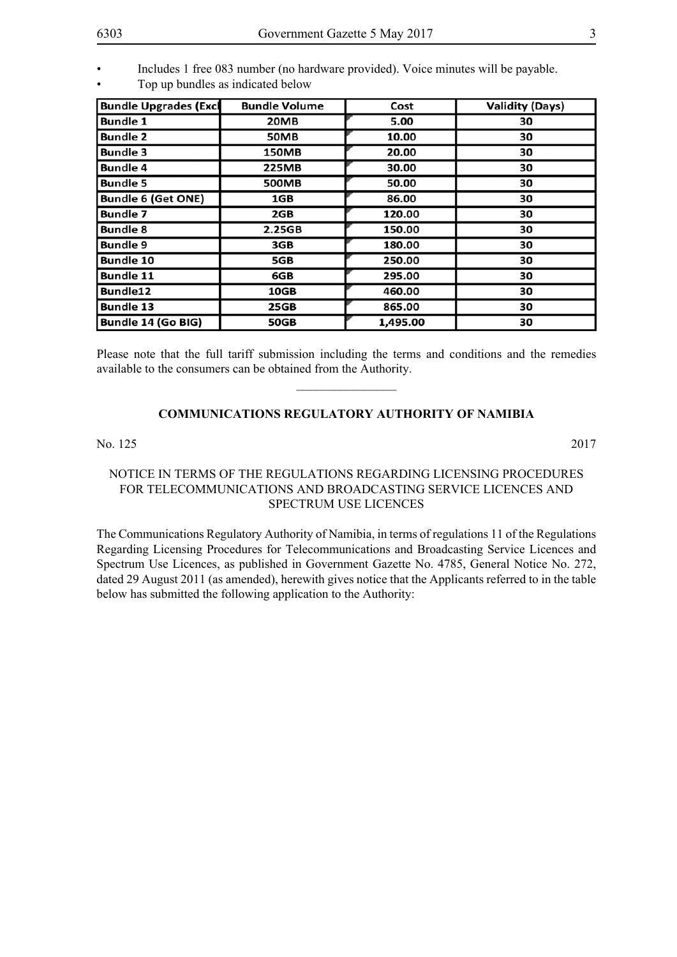• Includes 1 free 083 number (no hardware provided). Voice minutes will be payable. • Top up bundles as indicated below

| <b>Bundle Upgrades (Excl</b> | <b>Bundle Volume</b> | Cost     | <b>Validity (Days)</b> |  |
|------------------------------|----------------------|----------|------------------------|--|
| <b>Bundle 1</b>              | 20MB                 | 5.00     | 30                     |  |
| <b>Bundle 2</b>              | <b>50MB</b>          | 10.00    | 30                     |  |
| <b>Bundle 3</b>              | 150MB                | 20.00    | 30                     |  |
| <b>Bundle 4</b>              | 225MB                | 30.00    | 30                     |  |
| <b>Bundle 5</b>              | 500MB                | 50.00    | 30                     |  |
| <b>Bundle 6 (Get ONE)</b>    | 1GB                  | 86.00    | 30                     |  |
| <b>Bundle 7</b>              | 2GB                  | 120.00   | 30                     |  |
| <b>Bundle 8</b>              | 2.25GB               | 150.00   | 30                     |  |
| <b>Bundle 9</b>              | 3GB                  | 180.00   | 30                     |  |
| <b>Bundle 10</b>             | 5GB                  | 250.00   | 30                     |  |
| <b>Bundle 11</b>             | 6GB                  | 295.00   | 30                     |  |
| Bundle12                     | 10GB                 | 460.00   | 30                     |  |
| <b>Bundle 13</b>             | <b>25GB</b>          | 865.00   | 30                     |  |
| Bundle 14 (Go BIG)           | <b>50GB</b>          | 1,495.00 | 30                     |  |

Please note that the full tariff submission including the terms and conditions and the remedies available to the consumers can be obtained from the Authority.  $\overline{\phantom{a}}$  , where  $\overline{\phantom{a}}$ 

#### **COMMUNICATIONS REGULATORY AUTHORITY OF NAMIBIA**

No. 125 2017

#### NOTICE IN TERMS OF THE REGULATIONS REGARDING LICENSING PROCEDURES FOR TELECOMMUNICATIONS AND BROADCASTING SERVICE LICENCES AND SPECTRUM USE LICENCES

The Communications Regulatory Authority of Namibia, in terms of regulations 11 of the Regulations Regarding Licensing Procedures for Telecommunications and Broadcasting Service Licences and Spectrum Use Licences, as published in Government Gazette No. 4785, General Notice No. 272, dated 29 August 2011 (as amended), herewith gives notice that the Applicants referred to in the table below has submitted the following application to the Authority: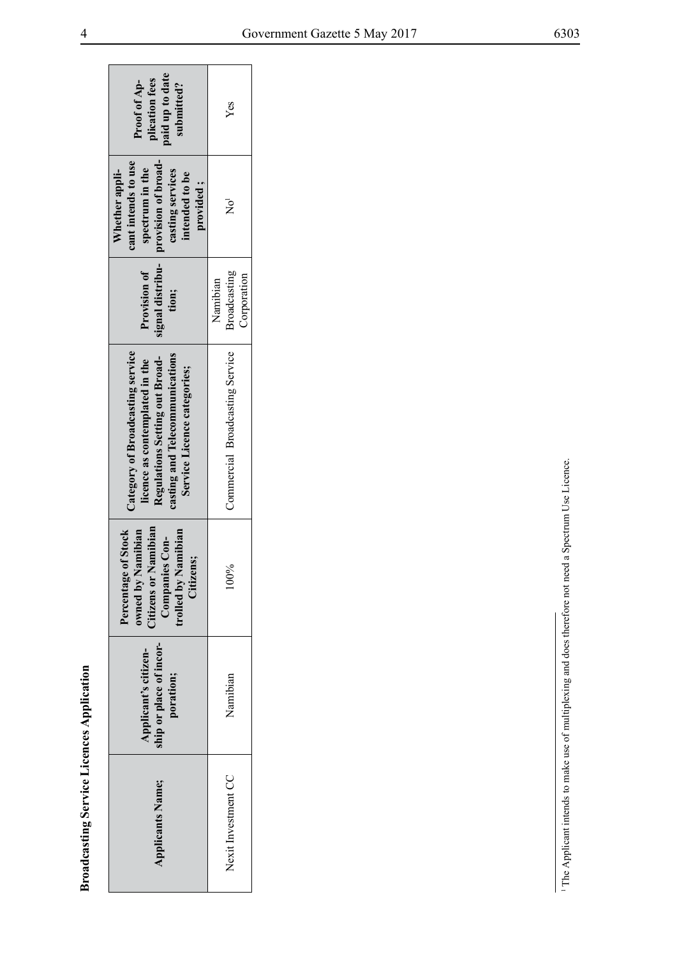| paid up to date<br>plication fees<br>Proof of Ap-<br>submitted?                                                                                                       | Yes                                     |
|-----------------------------------------------------------------------------------------------------------------------------------------------------------------------|-----------------------------------------|
| provision of broad-<br>cant intends to use<br>spectrum in the<br>Whether appli-<br>casting services<br>intended to be<br>provided;                                    | $\rm \bar{R}^1$                         |
| signal distribu-<br>Provision of<br>tion;                                                                                                                             | Broadcasting<br>Corporation<br>Namibian |
| Category of Broadcasting service<br>casting and Telecommunications<br>Regulations Setting out Broad-<br>licence as contemplated in the<br>Service Licence categories; | Commercial Broadcasting Service         |
| <b>Citizens or Namibian</b><br>Percentage of Stock<br>amibian<br>trolled by Namibian<br>Companies Con-<br>Citizens;<br>owned by N                                     | 100%                                    |
| ship or place of incor-<br>Applicant's citizen-<br>poration;                                                                                                          | Namibian                                |
| <b>Applicants Name;</b>                                                                                                                                               | Nexit Investment CC                     |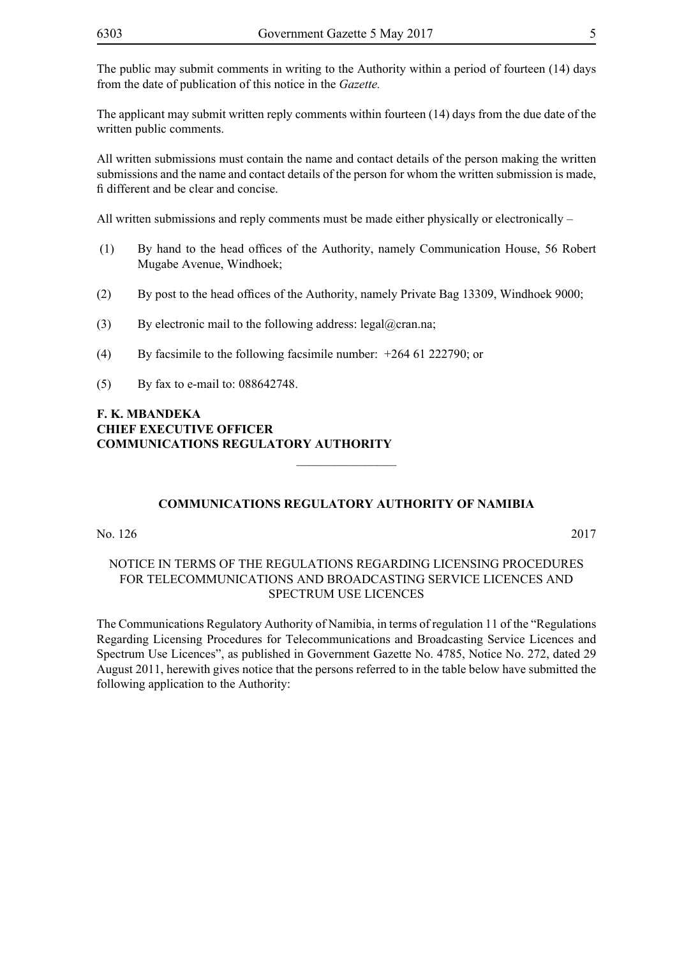The public may submit comments in writing to the Authority within a period of fourteen (14) days from the date of publication of this notice in the *Gazette.*

The applicant may submit written reply comments within fourteen (14) days from the due date of the written public comments.

All written submissions must contain the name and contact details of the person making the written submissions and the name and contact details of the person for whom the written submission is made, fi different and be clear and concise.

All written submissions and reply comments must be made either physically or electronically –

- (1) By hand to the head offices of the Authority, namely Communication House, 56 Robert Mugabe Avenue, Windhoek;
- (2) By post to the head offices of the Authority, namely Private Bag 13309, Windhoek 9000;
- (3) By electronic mail to the following address: legal@cran.na;
- (4) By facsimile to the following facsimile number: +264 61 222790; or
- (5) By fax to e-mail to: 088642748.

#### **F. K. MBANDEKA CHIEF EXECUTIVE OFFICER COMMUNICATIONS REGULATORY AUTHORITY**

#### **COMMUNICATIONS REGULATORY AUTHORITY OF NAMIBIA**

 $\overline{\phantom{a}}$  , where  $\overline{\phantom{a}}$ 

No. 126 2017

#### NOTICE IN TERMS OF THE REGULATIONS REGARDING LICENSING PROCEDURES FOR TELECOMMUNICATIONS AND BROADCASTING SERVICE LICENCES AND SPECTRUM USE LICENCES

The Communications Regulatory Authority of Namibia, in terms of regulation 11 of the "Regulations Regarding Licensing Procedures for Telecommunications and Broadcasting Service Licences and Spectrum Use Licences", as published in Government Gazette No. 4785, Notice No. 272, dated 29 August 2011, herewith gives notice that the persons referred to in the table below have submitted the following application to the Authority: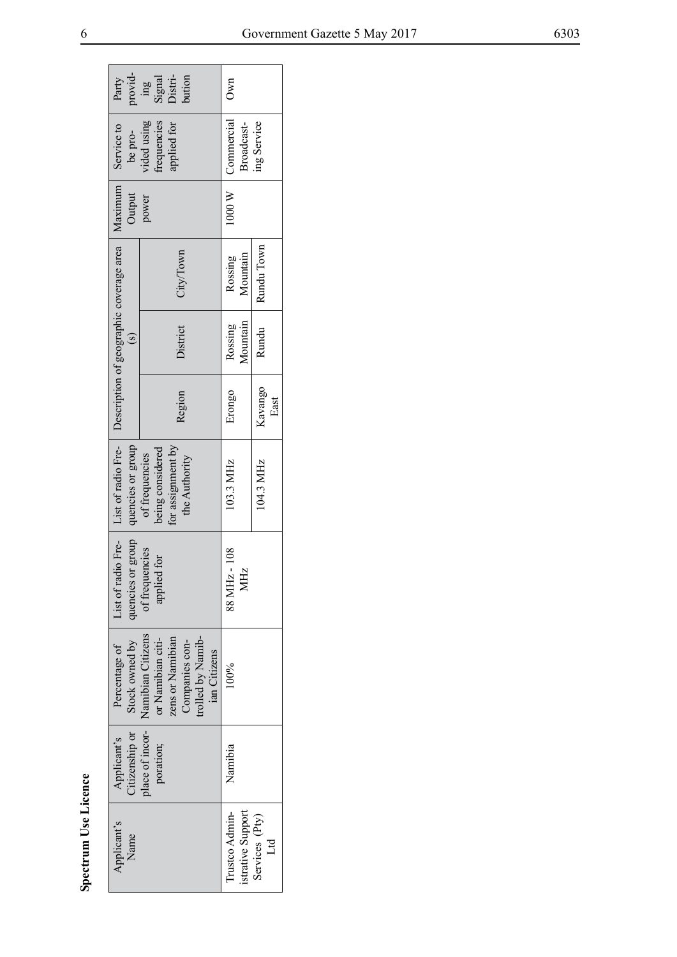|                      | provid-<br>Party                                                                  | bution<br>Signal<br>Distri-<br>$\sin$                                                                             | Own                                 |                         |
|----------------------|-----------------------------------------------------------------------------------|-------------------------------------------------------------------------------------------------------------------|-------------------------------------|-------------------------|
|                      | Service to<br>be pro-                                                             | vided using<br>frequencies<br>applied for                                                                         | 1000 W   Commercial<br>Broadcast-   | ing Service             |
|                      | Maximum<br>Output                                                                 | power                                                                                                             |                                     |                         |
|                      |                                                                                   | City/Town                                                                                                         | Mountain<br>Rossing                 | Rundu Town              |
|                      | $\mathbf{c}$                                                                      | District                                                                                                          | Mountain<br>Rossing                 | Rundu                   |
|                      |                                                                                   | Region                                                                                                            | Erongo                              | Kavango<br>East         |
|                      | List of radio Fre-   Description of geographic coverage area<br>quencies or group | for assignment by<br>being considered<br>of frequencies<br>the Authority                                          | 103.3 MHz                           | 104.3 MHz               |
|                      | quencies or group<br>List of radio Fre-                                           | of frequencies<br>applied for                                                                                     | 88 MHz - 108<br>MHz                 |                         |
|                      | Stock owned by<br>Percentage of                                                   | Namibian Citizens<br>trolled by Namib-<br>zens or Namibian<br>or Namibian citi-<br>Companies con-<br>ian Citizens | 100%                                |                         |
|                      | Citizenship or<br>Applicant's                                                     | place of incor- $\vert$<br>poration;                                                                              | Namibia                             |                         |
| Spectrum Use Licence | Applicant's<br>Name                                                               |                                                                                                                   | istrative Support<br>Trustco Admin- | Services (Pty)<br>$L_d$ |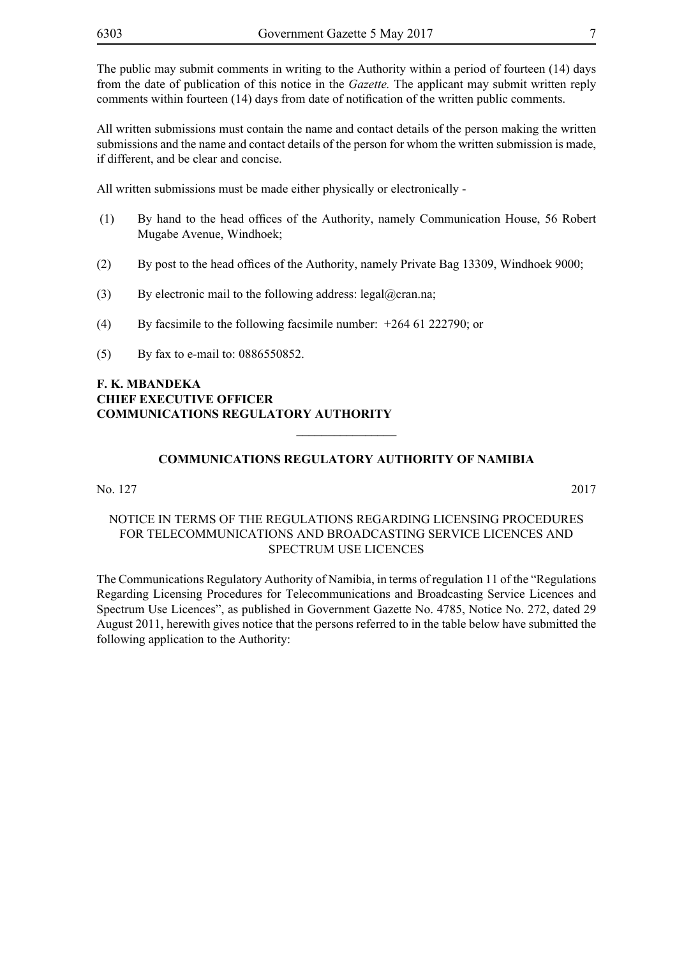The public may submit comments in writing to the Authority within a period of fourteen (14) days from the date of publication of this notice in the *Gazette.* The applicant may submit written reply comments within fourteen (14) days from date of notification of the written public comments.

All written submissions must contain the name and contact details of the person making the written submissions and the name and contact details of the person for whom the written submission is made, if different, and be clear and concise.

All written submissions must be made either physically or electronically -

- (1) By hand to the head offices of the Authority, namely Communication House, 56 Robert Mugabe Avenue, Windhoek;
- (2) By post to the head offices of the Authority, namely Private Bag 13309, Windhoek 9000;
- (3) By electronic mail to the following address: legal@cran.na;
- (4) By facsimile to the following facsimile number: +264 61 222790; or
- (5) By fax to e-mail to: 0886550852.

#### **F. K. MBANDEKA CHIEF EXECUTIVE OFFICER COMMUNICATIONS REGULATORY AUTHORITY**

#### **COMMUNICATIONS REGULATORY AUTHORITY OF NAMIBIA**

 $\frac{1}{2}$ 

#### No. 127 2017

#### NOTICE IN TERMS OF THE REGULATIONS REGARDING LICENSING PROCEDURES FOR TELECOMMUNICATIONS AND BROADCASTING SERVICE LICENCES AND SPECTRUM USE LICENCES

The Communications Regulatory Authority of Namibia, in terms of regulation 11 of the "Regulations Regarding Licensing Procedures for Telecommunications and Broadcasting Service Licences and Spectrum Use Licences", as published in Government Gazette No. 4785, Notice No. 272, dated 29 August 2011, herewith gives notice that the persons referred to in the table below have submitted the following application to the Authority: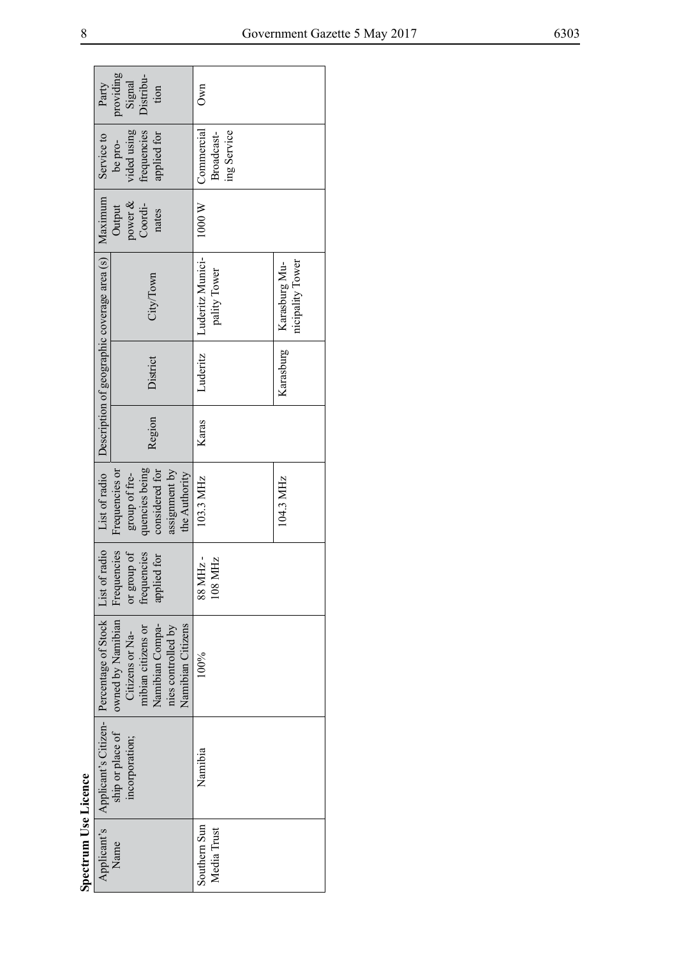|                      | Party                                                                    | providing<br>Signal                  | Distribu-          | tion            |                                         | Own              |                           |                                   |
|----------------------|--------------------------------------------------------------------------|--------------------------------------|--------------------|-----------------|-----------------------------------------|------------------|---------------------------|-----------------------------------|
|                      | Service to                                                               | vided using<br>be pro-               | frequencies        | applied for     |                                         | Commercial       | ing Service<br>Broadcast- |                                   |
|                      | Maximum                                                                  | power $\&$<br>Output                 | Coordi-            | nates           |                                         | 1000 W           |                           |                                   |
|                      | List of radio $\Box$ Description of geographic coverage area $(s)$       |                                      | City/Town          |                 |                                         | Luderitz Munici- | pality Tower              | nicipality Tower<br>Karasburg Mu- |
|                      |                                                                          |                                      | District           |                 |                                         | Luderitz         |                           | Karasburg                         |
|                      |                                                                          |                                      |                    | Region          |                                         | Karas            |                           |                                   |
|                      |                                                                          | Frequencies or<br>group of fre-      | quencies being     | considered for  | assignment by<br>the Authority          | 103.3 MHz        |                           | 104.3 MHz                         |
|                      |                                                                          | Frequencies<br>or group of           | frequencies        | applied for     |                                         | 88 MHz -         | 108 MHz                   |                                   |
|                      |                                                                          | owned by Namibian<br>Citizens or Na- | mibian citizens or | Namibian Compa- | Namibian Citizens<br>nies controlled by | 100%             |                           |                                   |
|                      | Applicant's   Applicant's Citizen-   Percentage of Stock   List of radio | ship or place of<br>incorporation;   |                    |                 |                                         | Namibia          |                           |                                   |
| Spectrum Use Licence |                                                                          | Name                                 |                    |                 |                                         | Southern Sun     | Media Trust               |                                   |